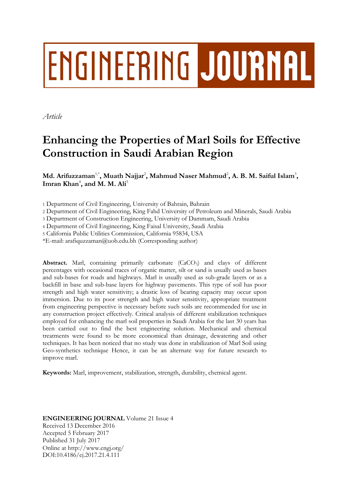# **ENGINEERING JOURNAL**

*Article*

# **Enhancing the Properties of Marl Soils for Effective Construction in Saudi Arabian Region**

 $\mathbf{M}$ d. Arifuzzaman $^{1,*}$ , Muath Najjar $^2$ , Mahmud Naser Mahmud $^2$ , A. B. M. Saiful Islam $^3$ , **Imran Khan**<sup>4</sup> **, and M. M. Ali**<sup>5</sup>

1 Department of Civil Engineering, University of Bahrain, Bahrain

2 Department of Civil Engineering, King Fahd University of Petroleum and Minerals, Saudi Arabia

3 Department of Construction Engineering, University of Dammam, Saudi Arabia

4 Department of Civil Engineering, King Faisal University, Saudi Arabia

5 California Public Utilities Commission, California 95834, USA

\*E-mail: arafiquzzaman@uob.edu.bh (Corresponding author)

**Abstract.** Marl, containing primarily carbonate (CaCO3) and clays of different percentages with occasional traces of organic matter, silt or sand is usually used as bases and sub-bases for roads and highways. Marl is usually used as sub-grade layers or as a backfill in base and sub-base layers for highway pavements. This type of soil has poor strength and high water sensitivity; a drastic loss of bearing capacity may occur upon immersion. Due to its poor strength and high water sensitivity, appropriate treatment from engineering perspective is necessary before such soils are recommended for use in any construction project effectively. Critical analysis of different stabilization techniques employed for enhancing the marl soil properties in Saudi Arabia for the last 30 years has been carried out to find the best engineering solution. Mechanical and chemical treatments were found to be more economical than drainage, dewatering and other techniques. It has been noticed that no study was done in stabilization of Marl Soil using Geo-synthetics technique Hence, it can be an alternate way for future research to improve marl.

**Keywords:** Marl, improvement, stabilization, strength, durability, chemical agent.

# **ENGINEERING JOURNAL** Volume 21 Issue 4 Received 13 December 2016 Accepted 5 February 2017 Published 31 July 2017 Online at http://www.engj.org/ DOI:10.4186/ej.2017.21.4.111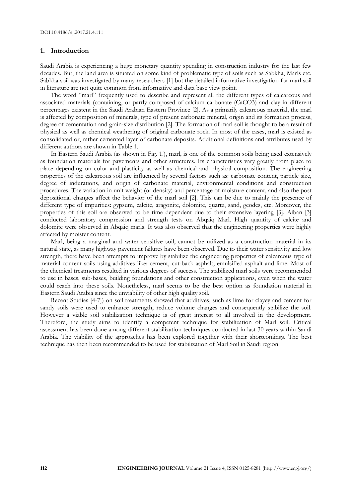#### **1. Introduction**

Saudi Arabia is experiencing a huge monetary quantity spending in construction industry for the last few decades. But, the land area is situated on some kind of problematic type of soils such as Sabkha, Marls etc. Sabkha soil was investigated by many researchers [1] but the detailed informative investigation for marl soil in literature are not quite common from informative and data base view point.

The word "marl" frequently used to describe and represent all the different types of calcareous and associated materials (containing, or partly composed of calcium carbonate (CaCO3) and clay in different percentages existent in the Saudi Arabian Eastern Province [2]. As a primarily calcareous material, the marl is affected by composition of minerals, type of present carbonate mineral, origin and its formation process, degree of cementation and grain-size distribution [2]. The formation of marl soil is thought to be a result of physical as well as chemical weathering of original carbonate rock. In most of the cases, marl is existed as consolidated or, rather cemented layer of carbonate deposits. Additional definitions and attributes used by different authors are shown in Table 1.

In Eastern Saudi Arabia (as shown in Fig. 1.), marl, is one of the common soils being used extensively as foundation materials for pavements and other structures. Its characteristics vary greatly from place to place depending on color and plasticity as well as chemical and physical composition. The engineering properties of the calcareous soil are influenced by several factors such as: carbonate content, particle size, degree of indurations, and origin of carbonate material, environmental conditions and construction procedures. The variation in unit weight (or density) and percentage of moisture content, and also the post depositional changes affect the behavior of the marl soil [2]. This can be due to mainly the presence of different type of impurities: gypsum, calcite, aragonite, dolomite, quartz, sand, geodes, etc. Moreover, the properties of this soil are observed to be time dependent due to their extensive layering [3]. Aiban [3] conducted laboratory compression and strength tests on Abqaiq Marl. High quantity of calcite and dolomite were observed in Abqaiq marls. It was also observed that the engineering properties were highly affected by moister content.

Marl, being a marginal and water sensitive soil, cannot be utilized as a construction material in its natural state, as many highway pavement failures have been observed. Due to their water sensitivity and low strength, there have been attempts to improve by stabilize the engineering properties of calcareous type of material content soils using additives like: cement, cut-back asphalt, emulsified asphalt and lime. Most of the chemical treatments resulted in various degrees of success. The stabilized marl soils were recommended to use in bases, sub-bases, building foundations and other construction applications, even when the water could reach into these soils. Nonetheless, marl seems to be the best option as foundation material in Eastern Saudi Arabia since the unviability of other high quality soil.

Recent Studies [4-7]) on soil treatments showed that additives, such as lime for clayey and cement for sandy soils were used to enhance strength, reduce volume changes and consequently stabilize the soil. However a viable soil stabilization technique is of great interest to all involved in the development. Therefore, the study aims to identify a competent technique for stabilization of Marl soil. Critical assessment has been done among different stabilization techniques conducted in last 30 years within Saudi Arabia. The viability of the approaches has been explored together with their shortcomings. The best technique has then been recommended to be used for stabilization of Marl Soil in Saudi region.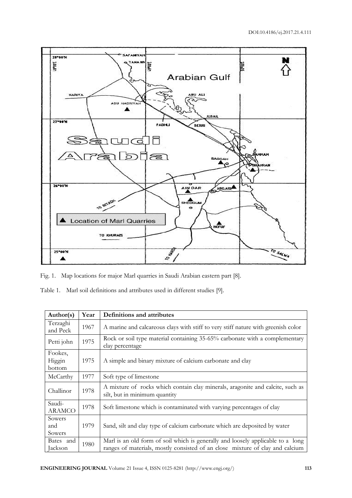

Fig. 1. Map locations for major Marl quarries in Saudi Arabian eastern part [8].

Table 1. Marl soil definitions and attributes used in different studies [9].

| Author(s)                   | Year | Definitions and attributes                                                                                                                                       |
|-----------------------------|------|------------------------------------------------------------------------------------------------------------------------------------------------------------------|
| Terzaghi<br>and Peck        | 1967 | A marine and calcareous clays with stiff to very stiff nature with greenish color                                                                                |
| Petti john                  | 1975 | Rock or soil type material containing 35-65% carbonate with a complementary<br>clay percentage                                                                   |
| Fookes,<br>Higgin<br>bottom | 1975 | A simple and binary mixture of calcium carbonate and clay                                                                                                        |
| McCarthy                    | 1977 | Soft type of limestone                                                                                                                                           |
| Challinor                   | 1978 | A mixture of rocks which contain clay minerals, aragonite and calcite, such as<br>silt, but in minimum quantity                                                  |
| Saudi-<br><b>ARAMCO</b>     | 1978 | Soft limestone which is contaminated with varying percentages of clay                                                                                            |
| Sowers<br>and<br>Sowers     | 1979 | Sand, silt and clay type of calcium carbonate which are deposited by water                                                                                       |
| Bates and<br>Jackson        | 1980 | Marl is an old form of soil which is generally and loosely applicable to a long<br>ranges of materials, mostly consisted of an close mixture of clay and calcium |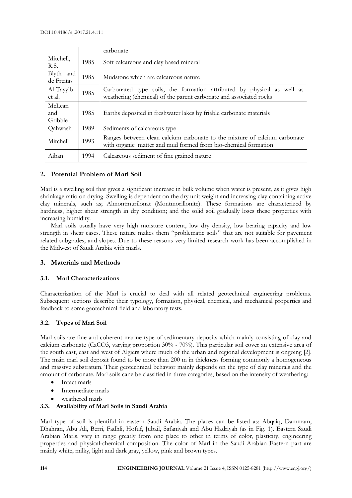|                          |      | carbonate                                                                                                                                    |  |  |  |
|--------------------------|------|----------------------------------------------------------------------------------------------------------------------------------------------|--|--|--|
| Mitchell,<br>R.S.        | 1985 | Soft calcareous and clay based mineral                                                                                                       |  |  |  |
| Blyth and<br>de Freitas  | 1985 | Mudstone which are calcareous nature                                                                                                         |  |  |  |
| Al-Tayyib<br>et al.      | 1985 | Carbonated type soils, the formation attributed by physical as well as<br>weathering (chemical) of the parent carbonate and associated rocks |  |  |  |
| McLean<br>and<br>Gribble | 1985 | Earths deposited in freshwater lakes by friable carbonate materials                                                                          |  |  |  |
| Qahwash                  | 1989 | Sediments of calcareous type                                                                                                                 |  |  |  |
| Mitchell                 | 1993 | Ranges between clean calcium carbonate to the mixture of calcium carbonate<br>with organic matter and mud formed from bio-chemical formation |  |  |  |
| Aiban                    | 1994 | Calcareous sediment of fine grained nature                                                                                                   |  |  |  |

# **2. Potential Problem of Marl Soil**

Marl is a swelling soil that gives a significant increase in bulk volume when water is present, as it gives high shrinkage ratio on drying. Swelling is dependent on the dry unit weight and increasing clay containing active clay minerals, such as; Almontmurilonat (Montmorillonite). These formations are characterized by hardness, higher shear strength in dry condition; and the solid soil gradually loses these properties with increasing humidity.

Marl soils usually have very high moisture content, low dry density, low bearing capacity and low strength in shear cases. These nature makes them "problematic soils" that are not suitable for pavement related subgrades, and slopes. Due to these reasons very limited research work has been accomplished in the Midwest of Saudi Arabia with marls.

# **3. Materials and Methods**

# **3.1. Marl Characterizations**

Characterization of the Marl is crucial to deal with all related geotechnical engineering problems. Subsequent sections describe their typology, formation, physical, chemical, and mechanical properties and feedback to some geotechnical field and laboratory tests.

# **3.2. Types of Marl Soil**

Marl soils are fine and coherent marine type of sedimentary deposits which mainly consisting of clay and calcium carbonate (CaCO3, varying proportion 30% - 70%). This particular soil cover an extensive area of the south east, east and west of Algiers where much of the urban and regional development is ongoing [2]. The main marl soil deposit found to be more than 200 m in thickness forming commonly a homogeneous and massive substratum. Their geotechnical behavior mainly depends on the type of clay minerals and the amount of carbonate. Marl soils cane be classified in three categories, based on the intensity of weathering:

- Intact marls
- Intermediate marls
- weathered marls

# **3.3. Availability of Marl Soils in Saudi Arabia**

Marl type of soil is plentiful in eastern Saudi Arabia. The places can be listed as: Abqaiq, Dammam, Dhahran, Abu Ali, Berri, Fadhli, Hofuf, Jubail, Safaniyah and Abu Hadriyah (as in Fig. 1). Eastern Saudi Arabian Marls, vary in range greatly from one place to other in terms of color, plasticity, engineering properties and physical-chemical composition. The color of Marl in the Saudi Arabian Eastern part are mainly white, milky, light and dark gray, yellow, pink and brown types.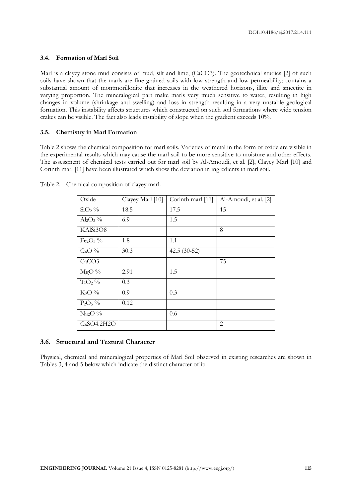# **3.4. Formation of Marl Soil**

Marl is a clayey stone mud consists of mud, silt and lime, (CaCO3). The geotechnical studies [2] of such soils have shown that the marls are fine grained soils with low strength and low permeability; contains a substantial amount of montmorillonite that increases in the weathered horizons, illite and smectite in varying proportion. The mineralogical part make marls very much sensitive to water, resulting in high changes in volume (shrinkage and swelling) and loss in strength resulting in a very unstable geological formation. This instability affects structures which constructed on such soil formations where wide tension crakes can be visible. The fact also leads instability of slope when the gradient exceeds 10%.

# **3.5. Chemistry in Marl Formation**

Table 2 shows the chemical composition for marl soils. Varieties of metal in the form of oxide are visible in the experimental results which may cause the marl soil to be more sensitive to moisture and other effects. The assessment of chemical tests carried out for marl soil by Al-Amoudi, et al. [2], Clayey Marl [10] and Corinth marl [11] have been illustrated which show the deviation in ingredients in marl soil.

| Oxide                     | Clayey Marl [10] | Corinth marl [11] | Al-Amoudi, et al. [2] |
|---------------------------|------------------|-------------------|-----------------------|
| $SiO2$ %                  | 18.5             | 17.5              | 15                    |
| $\text{Al}_2\text{O}_3\%$ | 6.9              | 1.5               |                       |
| KAlSi3O8                  |                  |                   | 8                     |
| $Fe2O3$ %                 | 1.8              | 1.1               |                       |
| CaO $%$                   | 30.3             | 42.5 $(30-52)$    |                       |
| CaCO <sub>3</sub>         |                  |                   | 75                    |
| $MgO\%$                   | 2.91             | 1.5               |                       |
| $TiO2$ %                  | 0.3              |                   |                       |
| $K_2O\%$                  | 0.9              | 0.3               |                       |
| $P_2O_5\%$                | 0.12             |                   |                       |
| $Na2O$ %                  |                  | 0.6               |                       |
| CaSO4.2H2O                |                  |                   | 2                     |

Table 2. Chemical composition of clayey marl.

# **3.6. Structural and Textural Character**

Physical, chemical and mineralogical properties of Marl Soil observed in existing researches are shown in Tables 3, 4 and 5 below which indicate the distinct character of it: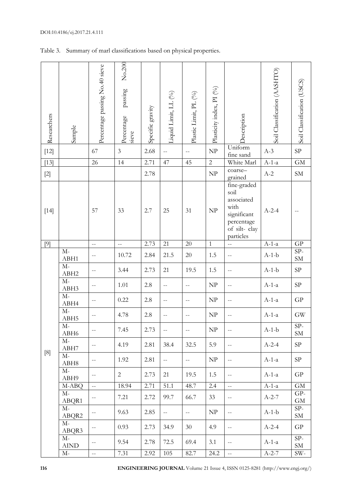| Researchers                                                                                                                                                                      | Sample                       | Percentage passing No.40 sieve | No.200<br>passing<br>Percentage<br>sieve | Specific gravity | Liquid Limit, LL (%)     | Plastic Limit, PL (%)     | Plasticity index, PI (%)          | <b>Description</b>                                                                                  | Soil Classification (AASHTO) | Soil Classification (USCS) |
|----------------------------------------------------------------------------------------------------------------------------------------------------------------------------------|------------------------------|--------------------------------|------------------------------------------|------------------|--------------------------|---------------------------|-----------------------------------|-----------------------------------------------------------------------------------------------------|------------------------------|----------------------------|
| $[12]$                                                                                                                                                                           |                              | 67                             | $\mathfrak{Z}$                           | 2.68             | $\overline{a}$           | $-$                       | $\ensuremath{\mathbf{NP}}\xspace$ | Uniform<br>fine sand                                                                                | $A-3$                        | $\rm SP$                   |
| $[13]$                                                                                                                                                                           |                              | 26                             | 14                                       | 2.71             | 47                       | 45                        | $\overline{c}$                    | White Marl                                                                                          | $A-1-a$                      | $\overline{GM}$            |
| $[2]$                                                                                                                                                                            |                              |                                |                                          | 2.78             |                          |                           | $\ensuremath{\mathbf{NP}}$        | coarse-<br>grained                                                                                  | $A-2$                        | ${\rm SM}$                 |
| $[14]$                                                                                                                                                                           |                              | 57                             | 33                                       | 2.7              | 25                       | 31                        | $\ensuremath{\mathbf{NP}}\xspace$ | fine-graded<br>soil<br>associated<br>with<br>significant<br>percentage<br>of silt-clay<br>particles | $A-2-4$                      |                            |
| [9]                                                                                                                                                                              |                              | $\overline{a}$                 | $\overline{a}$                           | 2.73             | 21                       | 20                        | $\mathbf{1}$                      | $\overline{\phantom{a}}$                                                                            | $A-1-a$                      | GP                         |
|                                                                                                                                                                                  | $\mathbf{M}\text{-}$<br>ABH1 |                                | 10.72                                    | 2.84             | 21.5                     | $20\,$                    | 1.5                               | $\overline{a}$                                                                                      | $A-1-b$                      | $SP-$<br>SM                |
|                                                                                                                                                                                  | $M-$<br>ABH2                 | $-$                            | 3.44                                     | 2.73             | 21                       | 19.5                      | 1.5                               | $ -$                                                                                                | $A-1-b$                      | ${\rm SP}$                 |
|                                                                                                                                                                                  | $M-$<br>ABH3                 | $-$                            | 1.01                                     | 2.8              | --                       | --                        | $\ensuremath{\text{NP}}$          | $-$                                                                                                 | $A-1-a$                      | ${\rm SP}$                 |
|                                                                                                                                                                                  | $M-$<br>ABH4                 | $-$                            | 0.22                                     | 2.8              | $\overline{a}$           | $-$                       | $\ensuremath{\mathsf{NP}}\xspace$ | $\qquad \qquad -$                                                                                   | $A-1-a$                      | $\mbox{G}\mbox{P}$         |
|                                                                                                                                                                                  | $M-$<br>ABH <sub>5</sub>     | $-$                            | 4.78                                     | 2.8              | --                       | --                        | $\ensuremath{\text{NP}}$          | $-$                                                                                                 | $A-1-a$                      | <b>GW</b>                  |
|                                                                                                                                                                                  | $M-$<br>ABH6                 | $-$                            | 7.45                                     | 2.73             | $\overline{\phantom{a}}$ | $\overline{a}$            | $\ensuremath{\text{NP}}\xspace$   | $\overline{\phantom{m}}$                                                                            | $A-1-b$                      | $SP-$<br><b>SM</b>         |
| $[8] % \includegraphics[width=0.9\columnwidth]{figures/fig_1a} \caption{Schematic diagram of the top of the top of the top of the top of the top of the right.} \label{fig:1} %$ | $M-$<br>ABH7                 | $- \, -$                       | 4.19                                     | 2.81             | 38.4                     | 32.5                      | 5.9                               | $\overline{\phantom{m}}$                                                                            | $A-2-4$                      | SP                         |
|                                                                                                                                                                                  | $M-$<br>ABH <sub>8</sub>     | $--$                           | 1.92                                     | 2.81             | $\overline{a}$           | $\mathbb{L}^{\mathbb{L}}$ | NP                                | $\overline{\phantom{m}}$                                                                            | $A-1-a$                      | SP                         |
|                                                                                                                                                                                  | $M-$<br>ABH9                 | $- \, -$                       | $\overline{2}$                           | 2.73             | 21                       | 19.5                      | 1.5                               | $\overline{\phantom{m}}$                                                                            | $A-1-a$                      | ${\rm GP}$                 |
|                                                                                                                                                                                  | M-ABQ                        | $\bar{\mathbb{L}}$             | 18.94                                    | 2.71             | 51.1                     | 48.7                      | 2.4                               | $\mathbb{L}^{\mathbb{L}}$                                                                           | $A-1-a$                      | GM                         |
|                                                                                                                                                                                  | $M-$<br>ABQR1                | $- \, -$                       | 7.21                                     | 2.72             | 99.7                     | 66.7                      | 33                                | $\overline{\phantom{m}}$                                                                            | $A-2-7$                      | GP-<br>$\mbox{GM}$         |
|                                                                                                                                                                                  | $M-$<br>ABQR2                | $- \, -$                       | 9.63                                     | 2.85             | $\overline{\phantom{a}}$ | $-$                       | NP                                | $\overline{\phantom{m}}$                                                                            | $A-1-b$                      | $SP-$<br>${\rm SM}$        |
|                                                                                                                                                                                  | $M-$<br>ABQR3                | $\overline{\phantom{a}}$       | 0.93                                     | 2.73             | 34.9                     | 30                        | 4.9                               | $\overline{\phantom{m}}$                                                                            | $A-2-4$                      | GP                         |
|                                                                                                                                                                                  | $M-$<br>${\rm AIND}$         | $\overline{\phantom{m}}$       | 9.54                                     | 2.78             | 72.5                     | 69.4                      | 3.1                               | $\overline{\phantom{a}}$                                                                            | $A-1-a$                      | $SP-$<br>${\rm SM}$        |
|                                                                                                                                                                                  | $M-$                         | $\mathbb{L}^{\perp}$           | 7.31                                     | 2.92             | 105                      | 82.7                      | 24.2                              | $\mathbb{H}^{\mathbb{Z}}$                                                                           | $A-2-7$                      | SW-                        |

Table 3. Summary of marl classifications based on physical properties.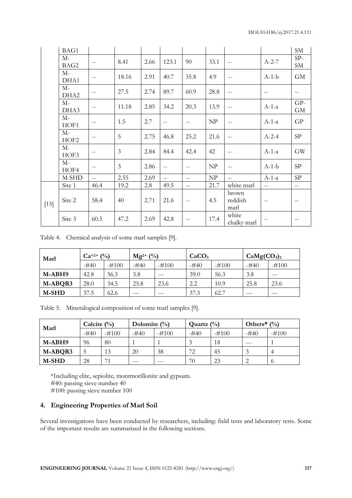|        | BAG1                     |                          |       |      |                   |                |      |                                       |                | SM                  |
|--------|--------------------------|--------------------------|-------|------|-------------------|----------------|------|---------------------------------------|----------------|---------------------|
|        | $M-$<br>BAG2             | $-$                      | 8.41  | 2.66 | 123.1             | 90             | 33.1 | $-$                                   | $A-2-7$        | $SP-$<br>${\rm SM}$ |
|        | $M-$<br>DHA1             | $- -$                    | 18.16 | 2.91 | 40.7              | 35.8           | 4.9  | $-$                                   | $A-1-b$        | <b>GM</b>           |
|        | $M-$<br>DHA <sub>2</sub> | $- -$                    | 27.5  | 2.74 | 89.7              | 60.9           | 28.8 | $\hspace{0.05cm}$ – $\hspace{0.05cm}$ | $ -$           | $-$                 |
|        | $M-$<br>DHA3             | $\overline{\phantom{m}}$ | 11.18 | 2.85 | 34.2              | 20.3           | 13.9 | $\qquad \qquad -$                     | $A-1-a$        | GP-<br><b>GM</b>    |
|        | $M-$<br>HOF1             | $-$                      | 1.5   | 2.7  | $\equiv$          | $\overline{a}$ | NP   | $\mathcal{L} =$                       | $A-1-a$        | GP                  |
|        | $M-$<br>HOF <sub>2</sub> | $\qquad \qquad -$        | 5     | 2.75 | 46.8              | 25.2           | 21.6 | $ -$                                  | $A-2-4$        | SP                  |
|        | М-<br>HOF3               | $\qquad \qquad -$        | 3     | 2.84 | 84.4              | 42.4           | 42   | $-$                                   | $A-1-a$        | GW                  |
|        | М-<br>HOF4               | $\overline{\phantom{m}}$ | 3     | 2.86 | $\qquad \qquad -$ | $- -$          | NP   | $\hspace{0.05cm}$ – $\hspace{0.05cm}$ | $A-1-b$        | SP                  |
|        | M-SHD                    | $\overline{a}$           | 2.55  | 2.69 | $\overline{a}$    | $-$            | NP   | $-$                                   | $A-1-a$        | SP                  |
|        | Site 1                   | 46.4                     | 19.2  | 2.8  | 49.5              | $\overline{a}$ | 21.7 | white marl                            | $\overline{a}$ | $\overline{a}$      |
| $[15]$ | Site 2                   | 58.4                     | 40    | 2.71 | 21.6              | $ -$           | 4.5  | brown<br>reddish<br>marl              | $ -$           | $-$                 |
|        | Site 3                   | 60.5                     | 47.2  | 2.69 | 42.8              | $-$            | 17.4 | white<br>chalky marl                  |                |                     |

Table 4. Chemical analysis of some marl samples [9].

| Marl    | (0/0)<br>$Ca^{+2+}$ |         | $(^{0}_{0})$<br>$Mg^{2+}$ |         | CaCO <sub>3</sub> |         | CaMg(CO <sub>3</sub> ) <sub>2</sub> |         |
|---------|---------------------|---------|---------------------------|---------|-------------------|---------|-------------------------------------|---------|
|         | -#40                | $-#100$ | $-#40$                    | $-#100$ | $-#40$            | $-#100$ | $-#40$                              | $-#100$ |
| M-ABH9  | 42.8                | 56.3    | 3.8                       | ---     | 39.0              | 56.3    | 3.8                                 | $- - -$ |
| M-ABQR3 | 28.0                | 34.5    | 25.8                      | 23.6    | 2.2               | 10.9    | 25.8                                | 23.6    |
| M-SHD   | 37.5                | 62.6    | ---                       | $- - -$ | 37.5              | 62.7    | $- - -$                             | ---     |

Table 5. Mineralogical composition of some marl samples [9].

| Marl    | Calcite $(\% )$ |         | Dolomite $\frac{0}{0}$ |         | Quartz $(\%)$ |         | Others <sup>*</sup> $\binom{0}{0}$ |         |
|---------|-----------------|---------|------------------------|---------|---------------|---------|------------------------------------|---------|
|         | $-#40$          | $-#100$ | $-#40$                 | $-#100$ | -#40          | $-#100$ | $-#40$                             | $-#100$ |
| M-ABH9  | 96              | 80      |                        |         |               | 18      | $---$                              |         |
| M-ABQR3 |                 | 13      | 20                     | 38      | 72            | 45      |                                    |         |
| M-SHD   | 28              | 71      |                        |         | 70            | 23      |                                    |         |

\*Including elite, sepiolite, montmorillonite and gypsum. #40: passing sieve number 40 #100: passing sieve number 100

# **4. Engineering Properties of Marl Soil**

Several investigations have been conducted by researchers, including: field tests and laboratory tests. Some of the important results are summarized in the following sections.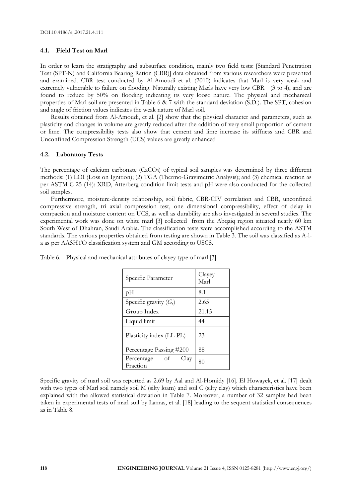# **4.1. Field Test on Marl**

In order to learn the stratigraphy and subsurface condition, mainly two field tests: [Standard Penetration Test (SPT-N) and California Bearing Ration (CBR)] data obtained from various researchers were presented and examined. CBR test conducted by Al-Amoudi et al. (2010) indicates that Marl is very weak and extremely vulnerable to failure on flooding. Naturally existing Marls have very low CBR (3 to 4), and are found to reduce by 50% on flooding indicating its very loose nature. The physical and mechanical properties of Marl soil are presented in Table 6 & 7 with the standard deviation (S.D.). The SPT, cohesion and angle of friction values indicates the weak nature of Marl soil.

Results obtained from Al-Amoudi, et al. [2] show that the physical character and parameters, such as plasticity and changes in volume are greatly reduced after the addition of very small proportion of cement or lime. The compressibility tests also show that cement and lime increase its stiffness and CBR and Unconfined Compression Strength (UCS) values are greatly enhanced

#### **4.2. Laboratory Tests**

The percentage of calcium carbonate (CaCO<sub>3</sub>) of typical soil samples was determined by three different methods: (1) LOI (Loss on Ignition); (2) TGA (Thermo-Gravimetric Analysis); and (3) chemical reaction as per ASTM C 25 (14): XRD, Atterberg condition limit tests and pH were also conducted for the collected soil samples.

Furthermore, moisture-density relationship, soil fabric, CBR-CIV correlation and CBR, unconfined compressive strength, tri axial compression test, one dimensional compressibility, effect of delay in compaction and moisture content on UCS, as well as durability are also investigated in several studies. The experimental work was done on white marl [3] collected from the Abqaiq region situated nearly 60 km South West of Dhahran, Saudi Arabia. The classification tests were accomplished according to the ASTM standards. The various properties obtained from testing are shown in Table 3. The soil was classified as A-la as per AASHTO classification system and GM according to USCS.

| Specific Parameter                   | Clayey<br>Marl |
|--------------------------------------|----------------|
| pН                                   | 8.1            |
| Specific gravity $(G_s)$             | 2.65           |
| Group Index                          | 21.15          |
| Liquid limit                         | 44             |
| Plasticity index (LL-PL)             | 23             |
| Percentage Passing #200              | 88             |
| оf<br>Clay<br>Percentage<br>Fraction | 80             |

Table 6. Physical and mechanical attributes of clayey type of marl [3].

Specific gravity of marl soil was reported as 2.69 by Aal and Al-Homidy [16]. El Howayek, et al. [17] dealt with two types of Marl soil namely soil M (silty loam) and soil C (silty clay) which characteristics have been explained with the allowed statistical deviation in Table 7. Moreover, a number of 32 samples had been taken in experimental tests of marl soil by Lamas, et al. [18] leading to the sequent statistical consequences as in Table 8.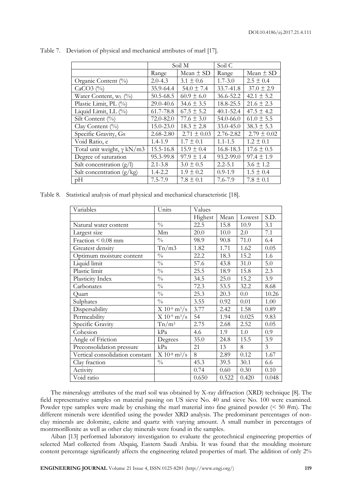|                                   |               | Soil M          | Soil C        |                 |
|-----------------------------------|---------------|-----------------|---------------|-----------------|
|                                   | Range         | Mean $\pm$ SD   | Range         | Mean $\pm$ SD   |
| Organic Content (%)               | $2.0 - 4.3$   | $3.1 \pm 0.6$   | $1.7 - 3.0$   | $2.5 \pm 0.4$   |
| $CaCO3$ (%)                       | 35.9-64.4     | $54.0 \pm 7.4$  | 33.7-41.8     | $37.0 \pm 2.9$  |
| Water Content, W <sub>L</sub> (%) | $50.5 - 68.5$ | $60.9 \pm 6.0$  | 36.6-52.2     | $42.1 \pm 5.2$  |
| Plastic Limit, PL (%)             | 29.0-40.6     | $34.6 \pm 3.5$  | 18.8-25.5     | $21.6 \pm 2.3$  |
| Liquid Limit, LL (%)              | 61.7-78.8     | $67.5 \pm 5.2$  | $40.1 - 52.4$ | $47.5 \pm 4.2$  |
| Silt Content $(\% )$              | 72.0-82.0     | $77.6 \pm 3.0$  | 54.0-66.0     | $61.0 \pm 5.5$  |
| Clay Content $(\%)$               | $15.0 - 23.0$ | $18.3 \pm 2.8$  | $33.0 - 45.0$ | $38.3 \pm 5.3$  |
| Specific Gravity, Gs              | $2.68 - 2.80$ | $2.71 \pm 0.03$ | $2.76 - 2.82$ | $2.79 \pm 0.02$ |
| Void Ratio, e                     | $1.4 - 1.9$   | $1.7 \pm 0.1$   | $1.1 - 1.5$   | $1.2 \pm 0.1$   |
| Total unit weight, $\gamma$ kN/m3 | 15.5-16.8     | $15.9 \pm 0.4$  | $16.8 - 18.3$ | $17.6 \pm 0.5$  |
| Degree of saturation              | 95.3-99.8     | $97.9 \pm 1.4$  | 93.2-99.0     | $97.4 \pm 1.9$  |
| Salt concentration $(g/l)$        | $2.1 - 3.8$   | $3.0 \pm 0.5$   | $2.2 - 5.1$   | $3.6 \pm 1.2$   |
| Salt concentration $(g/kg)$       | $1.4 - 2.2$   | $1.9 \pm 0.2$   | $0.9 - 1.9$   | $1.5 \pm 0.4$   |
| pН                                | $7.5 - 7.9$   | $7.8 \pm 0.1$   | $7.6 - 7.9$   | $7.8 \pm 0.1$   |

Table 7. Deviation of physical and mechanical attributes of marl [17].

Table 8. Statistical analysis of marl physical and mechanical characteristic [18].

| Variables                       | Units                         | Values  |       |        |                |
|---------------------------------|-------------------------------|---------|-------|--------|----------------|
|                                 |                               | Highest | Mean  | Lowest | S.D.           |
| Natural water content           | $\frac{0}{0}$                 | 22.5    | 15.8  | 10.9   | 3.1            |
| Largest size                    | Mm                            | 20.0    | 10.0  | 2.0    | 7.1            |
| Fraction < 0.08 mm              | $\frac{0}{0}$                 | 98.9    | 90.8  | 71.0   | 6.4            |
| Greatest density                | Tn/m3                         | 1.82    | 1.71  | 1.62   | 0.05           |
| Optimum moisture content        | $\frac{0}{0}$                 | 22.2    | 18.3  | 15.2   | 1.6            |
| Liquid limit                    | $\frac{0}{0}$                 | 57.6    | 43.8  | 31.0   | 5.0            |
| Plastic limit                   | $\frac{0}{0}$                 | 25.5    | 18.9  | 15.8   | 2.3            |
| Plasticity Index                | $\frac{0}{0}$                 | 34.5    | 25.0  | 15.2   | 3.9            |
| Carbonates                      | $\frac{0}{0}$                 | 72.3    | 53.5  | 32.2   | 8.68           |
| Quart                           | $\frac{0}{0}$                 | 25.3    | 20.3  | 0.0    | 10.26          |
| Sulphates                       | $\frac{0}{0}$                 | 3.55    | 0.92  | 0.01   | 1.00           |
| Dispersability                  | $X 10^{-6}$ m <sup>3</sup> /s | 3.77    | 2.42  | 1.58   | 0.89           |
| Permeability                    | $X 10^{-9} m^3/s$             | 54      | 1.94  | 0.025  | 9.83           |
| Specific Gravity                | $Tn/m^3$                      | 2.75    | 2.68  | 2.52   | 0.05           |
| Cohesion                        | kPa                           | 4.6     | 1.9   | 1.0    | 0.9            |
| Angle of Friction               | Degrees                       | 35.0    | 24.8  | 15.5   | 3.9            |
| Preconsolidation pressure       | kPa                           | 21      | 13    | 8      | $\overline{3}$ |
| Vertical consolidation constant | $X 10^{-8}$ m <sup>2</sup> /s | 8       | 2.89  | 0.12   | 1.67           |
| Clay fraction                   | $\frac{0}{0}$                 | 45.3    | 39.5  | 30.1   | 6.6            |
| Activity                        |                               | 0.74    | 0.60  | 0.30   | 0.10           |
| Void ratio                      |                               | 0.650   | 0.522 | 0.420  | 0.048          |

The mineralogy attributes of the marl soil was obtained by X-ray diffraction (XRD) technique [8]. The field representative samples on material passing on US sieve No. 40 and sieve No. 100 were examined. Powder type samples were made by crushing the marl material into fine grained powder  $\leq 50 \text{ }\text{\#m}$ ). The different minerals were identified using the powder XRD analysis. The predominant percentages of nonclay minerals are dolomite, calcite and quartz with varying amount. A small number in percentages of montmorillonite as well as other clay minerals were found in the samples.

Aiban [13] performed laboratory investigation to evaluate the geotechnical engineering properties of selected Marl collected from Abqaiq, Eastern Saudi Arabia. It was found that the moulding moisture content percentage significantly affects the engineering related properties of marl. The addition of only 2%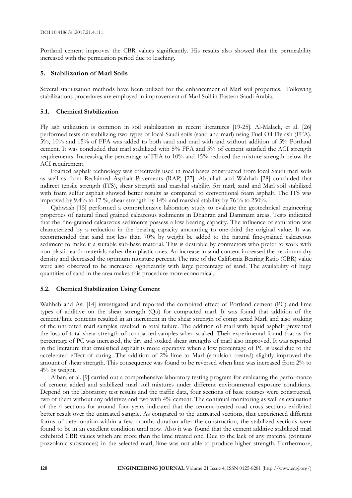Portland cement improves the CBR values significantly. His results also showed that the permeability increased with the permeation period due to leaching.

# **5. Stabilization of Marl Soils**

Several stabilization methods have been utilized for the enhancement of Marl soil properties. Following stabilizations procedures are employed in improvement of Marl Soil in Eastern Saudi Arabia.

#### **5.1. Chemical Stabilization**

Fly ash utilization is common in soil stabilization in recent literatures [19-25]. Al-Malack, et al. [26] performed tests on stabilizing two types of local Saudi soils (sand and marl) using Fuel Oil Fly ash (FFA). 5%, 10% and 15% of FFA was added to both sand and marl with and without addition of 5% Portland cement. It was concluded that marl stabilized with 5% FFA and 5% of cement satisfied the ACI strength requirements. Increasing the percentage of FFA to 10% and 15% reduced the mixture strength below the ACI requirement.

Foamed asphalt technology was effectively used in road bases constructed from local Saudi marl soils as well as from Reclaimed Asphalt Pavements (RAP) [27]. Abdullah and Wahhab [28] concluded that indirect tensile strength (ITS), shear strength and marshal stability for marl, sand and Marl soil stabilized with foam sulfur asphalt showed better results as compared to conventional foam asphalt. The ITS was improved by 9.4% to 17 %, shear strength by 14% and marshal stability by 76 % to 250%.

Qahwash [15] performed a comprehensive laboratory study to evaluate the geotechnical engineering properties of natural fined grained calcareous sediments in Dhahran and Dammam areas. Tests indicated that the fine-grained calcareous sediments possess a low bearing capacity. The influence of saturation was characterized by a reduction in the bearing capacity amounting to one-third the original value. It was recommended that sand not less than 70% by weight be added to the natural fine-grained calcareous sediment to make it a suitable sub-base material. This is desirable by contractors who prefer to work with non-plastic earth materials rather than plastic ones. An increase in sand content increased the maximum dry density and decreased the optimum moisture percent. The rate of the California Bearing Ratio (CBR) value were also observed to be increased significantly with large percentage of sand. The availability of huge quantities of sand in the area makes this procedure more economical.

#### **5.2. Chemical Stabilization Using Cement**

Wahhab and Asi [14] investigated and reported the combined effect of Portland cement (PC) and lime types of additive on the shear strength (Qu) for compacted marl. It was found that addition of the cement/lime contents resulted in an increment in the shear strength of comp acted Marl, and also soaking of the untreated marl samples resulted in total failure. The addition of marl with liquid asphalt prevented the loss of total shear strength of compacted samples when soaked. Their experimental found that as the percentage of PC was increased, the dry and soaked shear strengths of marl also improved. It was reported in the literature that emulsified asphalt is more operative when a low percentage of PC is used due to the accelerated effect of curing. The addition of 2% lime to Marl (emulsion treated) slightly improved the amount of shear strength. This consequence was found to be reversed when lime was increased from 2% to 4% by weight.

Aiban, et al. [9] carried out a comprehensive laboratory testing program for evaluating the performance of cement added and stabilized marl soil mixtures under different environmental exposure conditions. Depend on the laboratory test results and the traffic data, four sections of base courses were constructed, two of them without any additives and two with 4% cement. The continual monitoring as well as evaluation of the 4 sections for around four years indicated that the cement-treated road cross sections exhibited better result over the untreated sample. As compared to the untreated sections, that experienced different forms of deterioration within a few months duration after the construction, the stabilized sections were found to be in an excellent condition until now. Also it was found that the cement additive stabilized marl exhibited CBR values which are more than the lime treated one. Due to the lack of any material (contains pozzolanic substances) in the selected marl, lime was not able to produce higher strength. Furthermore,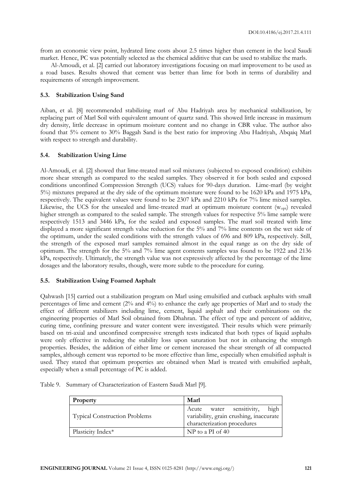from an economic view point, hydrated lime costs about 2.5 times higher than cement in the local Saudi market. Hence, PC was potentially selected as the chemical additive that can be used to stabilize the marls.

Al-Amoudi, et al. [2] carried out laboratory investigations focusing on marl improvement to be used as a road bases. Results showed that cement was better than lime for both in terms of durability and requirements of strength improvement.

### **5.3. Stabilization Using Sand**

Aiban, et al. [8] recommended stabilizing marl of Abu Hadriyah area by mechanical stabilization, by replacing part of Marl Soil with equivalent amount of quartz sand. This showed little increase in maximum dry density, little decrease in optimum moisture content and no change in CBR value. The author also found that 5% cement to 30% Baggah Sand is the best ratio for improving Abu Hadriyah, Abqaiq Marl with respect to strength and durability.

#### **5.4. Stabilization Using Lime**

Al-Amoudi, et al. [2] showed that lime-treated marl soil mixtures (subjected to exposed condition) exhibits more shear strength as compared to the sealed samples. They observed it for both sealed and exposed conditions unconfined Compression Strength (UCS) values for 90-days duration. Lime-marl (by weight 5%) mixtures prepared at the dry side of the optimum moisture were found to be 1620 kPa and 1975 kPa, respectively. The equivalent values were found to be 2307 kPa and 2210 kPa for 7% lime mixed samples. Likewise, the UCS for the unsealed and lime-treated marl at optimum moisture content  $(w_{\text{oot}})$  revealed higher strength as compared to the sealed sample. The strength values for respective 5% lime sample were respectively 1513 and 3446 kPa, for the sealed and exposed samples. The marl soil treated with lime displayed a more significant strength value reduction for the 5% and 7% lime contents on the wet side of the optimum, under the sealed conditions with the strength values of 696 and 809 kPa, respectively. Still, the strength of the exposed marl samples remained almost in the equal range as on the dry side of optimum. The strength for the 5% and 7% lime agent contents samples was found to be 1922 and 2136 kPa, respectively. Ultimately, the strength value was not expressively affected by the percentage of the lime dosages and the laboratory results, though, were more subtle to the procedure for curing.

#### **5.5. Stabilization Using Foamed Asphalt**

Qahwash [15] carried out a stabilization program on Marl using emulsified and cutback asphalts with small percentages of lime and cement (2% and 4%) to enhance the early age properties of Marl and to study the effect of different stabilizers including lime, cement, liquid asphalt and their combinations on the engineering properties of Marl Soil obtained from Dhahran. The effect of type and percent of additive, curing time, confining pressure and water content were investigated. Their results which were primarily based on tri-axial and unconfined compressive strength tests indicated that both types of liquid asphalts were only effective in reducing the stability loss upon saturation but not in enhancing the strength properties. Besides, the addition of either lime or cement increased the shear strength of all compacted samples, although cement was reported to be more effective than lime, especially when emulsified asphalt is used. They stated that optimum properties are obtained when Marl is treated with emulsified asphalt, especially when a small percentage of PC is added.

| Property                             | Marl                                                                                                       |
|--------------------------------------|------------------------------------------------------------------------------------------------------------|
| <b>Typical Construction Problems</b> | Acute water sensitivity,<br>high<br>variability, grain crushing, inaccurate<br>characterization procedures |
| Plasticity Index*                    | $NP$ to a PI of 40                                                                                         |

Table 9. Summary of Characterization of Eastern Saudi Marl [9].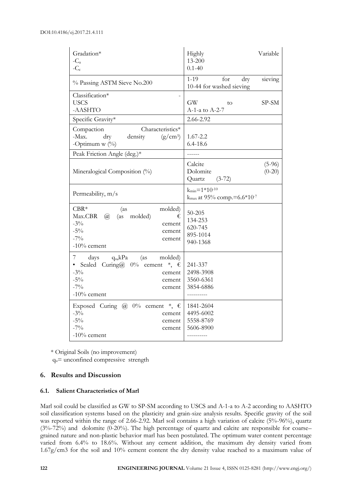| Gradation*<br>$-C_{u}$<br>$-C_c$                                                                                                                                                     | Variable<br>Highly<br>13-200<br>$0.1 - 40$                        |
|--------------------------------------------------------------------------------------------------------------------------------------------------------------------------------------|-------------------------------------------------------------------|
| % Passing ASTM Sieve No.200                                                                                                                                                          | for<br>$1 - 19$<br>dry<br>sieving<br>10-44 for washed sieving     |
| Classification*<br><b>USCS</b><br>-AASHTO                                                                                                                                            | GW<br>SP-SM<br>to<br>A-1-a to A-2-7                               |
| Specific Gravity*                                                                                                                                                                    | 2.66-2.92                                                         |
| Characteristics*<br>Compaction<br>-Max.<br>dry<br>density<br>$(g/cm^3)$<br>-Optimum $w$ (%)                                                                                          | $1.67 - 2.2$<br>$6.4 - 18.6$                                      |
| Peak Friction Angle (deg.)*                                                                                                                                                          | ------                                                            |
| Mineralogical Composition (%)                                                                                                                                                        | Calcite<br>$(5-96)$<br>Dolomite<br>$(0-20)$<br>Quartz<br>$(3-72)$ |
| Permeability, m/s                                                                                                                                                                    | $k_{min} = 1*10^{-10}$<br>$k_{\text{max}}$ at 95% comp.=6.6*10-7  |
| $CBR*$<br>molded)<br>(as<br>Max.CBR<br>$\omega$<br>(as<br>molded)<br>€<br>$-3\%$<br>cement<br>$-5\%$<br>cement<br>$-7\%$<br>cement<br>$-10\%$ cement                                 | $50 - 205$<br>134-253<br>620-745<br>895-1014<br>940-1368          |
| 7<br>$q_u, kPa$<br>molded)<br>days<br>(as<br>Sealed Curing@ $0\%$ cement $*$ , $\epsilon$<br>$\bullet$<br>$-3\%$<br>cement<br>$-5\%$<br>cement<br>$-7\%$<br>cement<br>$-10\%$ cement | 241-337<br>2498-3908<br>3560-6361<br>3854-6886                    |
| Exposed Curing @ $0\%$ cement $*$ , $\epsilon$<br>$-3\%$<br>cement<br>$-5\%$<br>cement<br>$-7%$<br>cement<br>$-10\%$ cement                                                          | 1841-2604<br>4495-6002<br>5558-8769<br>5606-8900<br>----------    |

\* Original Soils (no improvement)

 $q_u$ = unconfined compressive strength

#### **6. Results and Discussion**

#### **6.1. Salient Characteristics of Marl**

Marl soil could be classified as GW to SP-SM according to USCS and A-1-a to A-2 according to AASHTO soil classification systems based on the plasticity and grain-size analysis results. Specific gravity of the soil was reported within the range of 2.66-2.92. Marl soil contains a high variation of calcite (5%-96%), quartz (3%-72%) and dolomite (0-20%). The high percentage of quartz and calcite are responsible for coarse– grained nature and non-plastic behavior marl has been postulated. The optimum water content percentage varied from 6.4% to 18.6%. Without any cement addition, the maximum dry density varied from 1.67g/cm3 for the soil and 10% cement content the dry density value reached to a maximum value of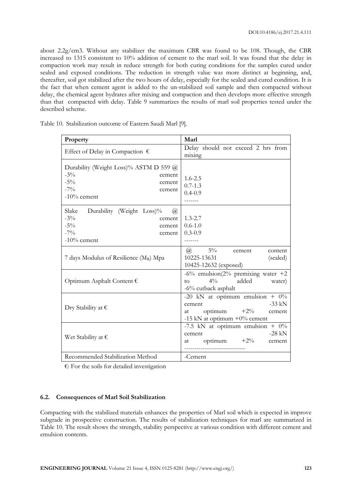about 2.2g/cm3. Without any stabilizer the maximum CBR was found to be 108. Though, the CBR increased to 1315 consistent to 10% addition of cement to the marl soil. It was found that the delay in compaction work may result in reduce strength for both curing conditions for the samples cured under sealed and exposed conditions. The reduction in strength value was more distinct at beginning, and, thereafter, soil got stabilized after the two hours of delay, especially for the sealed and cured condition. It is the fact that when cement agent is added to the un-stabilized soil sample and then compacted without delay, the chemical agent hydrates after mixing and compaction and then develops more effective strength than that compacted with delay. Table 9 summarizes the results of marl soil properties tested under the described scheme.

| Property                                                                                                                 | Marl                                                                                                                          |
|--------------------------------------------------------------------------------------------------------------------------|-------------------------------------------------------------------------------------------------------------------------------|
| Effect of Delay in Compaction $\epsilon$                                                                                 | Delay should not exceed 2 hrs from<br>mixing                                                                                  |
| Durability (Weight Loss)% ASTM D 559 @<br>$-3\%$<br>cement<br>$-5\%$<br>cement<br>$-7%$<br>cement<br>$-10\%$ cement      | $1.6 - 2.5$<br>$0.7 - 1.3$<br>$0.4 - 0.9$<br>-------                                                                          |
| Slake<br>Durability (Weight Loss)%<br>(a)<br>$-3\%$<br>cement  <br>$-5\%$<br>cement<br>$-7%$<br>cement<br>$-10\%$ cement | $1.3 - 2.7$<br>$0.6 - 1.0$<br>$0.3 - 0.9$<br>--------                                                                         |
| 7 days Modulus of Resilience $(M_R)$ Mpa                                                                                 | $5\%$<br>$\omega$<br>cement<br>content<br>10225-13631<br>(sealed)<br>10425-12632 (exposed)                                    |
| Optimum Asphalt Content $\epsilon$                                                                                       | -6% emulsion( $2\%$ premixing water +2<br>$4\%$<br>added<br>water)<br>to<br>$-6\%$ cutback asphalt                            |
| Dry Stability at $\epsilon$                                                                                              | -20 kN at optimum emulsion + $0\%$<br>$-33$ kN<br>cement<br>optimum $+2\%$<br>cement<br>at<br>-15 kN at optimum $+0\%$ cement |
| Wet Stability at $\epsilon$                                                                                              | -7.5 kN at optimum emulsion + $0\%$<br>$-28$ kN<br>cement<br>optimum $+2\%$<br>cement<br>at                                   |
| Recommended Stabilization Method                                                                                         | -Cement                                                                                                                       |

Table 10. Stabilization outcome of Eastern Saudi Marl [9].

€: For the soils for detailed investigation

### **6.2. Consequences of Marl Soil Stabilization**

Compacting with the stabilized materials enhances the properties of Marl soil which is expected in improve subgrade in prospective construction. The results of stabilization techniques for marl are summarized in Table 10. The result shows the strength, stability perspective at various condition with different cement and emulsion contents.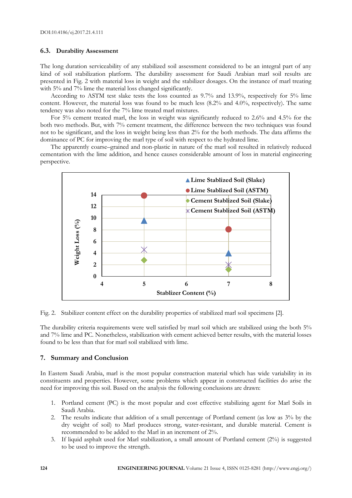# **6.3. Durability Assessment**

The long duration serviceability of any stabilized soil assessment considered to be an integral part of any kind of soil stabilization platform. The durability assessment for Saudi Arabian marl soil results are presented in Fig. 2 with material loss in weight and the stabilizer dosages. On the instance of marl treating with 5% and 7% lime the material loss changed significantly.

According to ASTM test slake tests the loss counted as 9.7% and 13.9%, respectively for 5% lime content. However, the material loss was found to be much less (8.2% and 4.0%, respectively). The same tendency was also noted for the 7% lime treated marl mixtures.

For 5% cement treated marl, the loss in weight was significantly reduced to 2.6% and 4.5% for the both two methods. But, with 7% cement treatment, the difference between the two techniques was found not to be significant, and the loss in weight being less than 2% for the both methods. The data affirms the dominance of PC for improving the marl type of soil with respect to the hydrated lime.

The apparently coarse–grained and non-plastic in nature of the marl soil resulted in relatively reduced cementation with the lime addition, and hence causes considerable amount of loss in material engineering perspective.



Fig. 2. Stabilizer content effect on the durability properties of stabilized marl soil specimens [2].

The durability criteria requirements were well satisfied by marl soil which are stabilized using the both 5% and 7% lime and PC. Nonetheless, stabilization with cement achieved better results, with the material losses found to be less than that for marl soil stabilized with lime.

#### **7. Summary and Conclusion**

In Eastern Saudi Arabia, marl is the most popular construction material which has wide variability in its constituents and properties. However, some problems which appear in constructed facilities do arise the need for improving this soil. Based on the analysis the following conclusions are drawn:

- 1. Portland cement (PC) is the most popular and cost effective stabilizing agent for Marl Soils in Saudi Arabia.
- 2. The results indicate that addition of a small percentage of Portland cement (as low as 3% by the dry weight of soil) to Marl produces strong, water-resistant, and durable material. Cement is recommended to be added to the Marl in an increment of 2%.
- 3. If liquid asphalt used for Marl stabilization, a small amount of Portland cement (2%) is suggested to be used to improve the strength.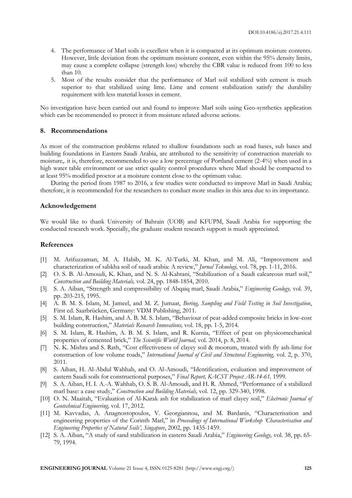- 4. The performance of Marl soils is excellent when it is compacted at its optimum moisture contents. However, little deviation from the optimum moisture content, even within the 95% density limits, may cause a complete collapse (strength loss) whereby the CBR value is reduced from 100 to less than 10.
- 5. Most of the results consider that the performance of Marl soil stabilized with cement is much superior to that stabilized using lime. Lime and cement stabilization satisfy the durability requirement with less material losses in cement.

No investigation have been carried out and found to improve Marl soils using Geo-synthetics application which can be recommended to protect it from moisture related adverse actions.

#### **8. Recommendations**

As most of the construction problems related to shallow foundations such as road bases, sub bases and building foundations in Eastern Saudi Arabia, are attributed to the sensitivity of construction materials to moisture,. it is, therefore, recommended to use a low percentage of Portland cement (2-4%) when used in a high water table environment or use strict quality control procedures where Marl should be compacted to at least 95% modified proctor at a moisture content close to the optimum value.

During the period from 1987 to 2016, a few studies were conducted to improve Marl in Saudi Arabia; therefore, it is recommended for the researchers to conduct more studies in this area due to its importance.

#### **Acknowledgement**

We would like to thank University of Bahrain (UOB) and KFUPM, Saudi Arabia for supporting the conducted research work. Specially, the graduate student research support is much appreciated.

#### **References**

- [1] M. Arifuzzaman, M. A. Habib, M. K. Al-Turki, M. Khan, and M. Ali, "Improvement and characterization of sabkha soil of saudi arabia: A review," *Jurnal Teknologi,* vol. 78, pp. 1-11, 2016.
- [2] O. S. B. Al-Amoudi, K. Khan, and N. S. Al-Kahtani, "Stabilization of a Saudi calcareous marl soil," *Construction and Building Materials,* vol. 24, pp. 1848-1854, 2010.
- [3] S. A. Aiban, "Strength and compressibility of Abqaiq marl, Saudi Arabia," *Engineering Geology,* vol. 39, pp. 203-215, 1995.
- [4] A. B. M. S. Islam, M. Jameel, and M. Z. Jumaat, *Boring, Sampling and Field Testing in Soil Investigation*, First ed. Saarbrücken, Germany: VDM Publishing, 2011.
- [5] S. M. Islam, R. Hashim, and A. B. M. S. Islam, "Behaviour of peat-added composite bricks in low-cost building construction," *Materials Research Innovations,* vol. 18, pp. 1-5, 2014.
- [6] S. M. Islam, R. Hashim, A. B. M. S. Islam, and R. Kurnia, "Effect of peat on physicomechanical properties of cemented brick," *The Scientific World Journal,* vol. 2014, p. 8, 2014.
- [7] N. K. Mishra and S. Rath, "Cost effectiveness of clayey soil & moorum, treated with fly ash-lime for construction of low volume roads," *International Journal of Civil and Structural Engineering,* vol. 2, p. 370, 2011.
- [8] S. Aiban, H. Al-Abdul Wahhab, and O. Al-Amoudi, "Identification, evaluation and improvement of eastern Saudi soils for constructional purposes," *Final Report, KACST Project AR-14-61,* 1999.
- [9] S. A. Aiban, H. I. A.-A. Wahhab, O. S. B. Al-Amoudi, and H. R. Ahmed, "Performance of a stabilized marl base: a case study," *Construction and Building Materials,* vol. 12, pp. 329-340, 1998.
- [10] O. N. Maaitah, "Evaluation of Al-Karak ash for stabilization of marl clayey soil," *Electronic Journal of Geotechnical Engineering,* vol. 17, 2012.
- [11] M. Kavvadas, A. Anagnostopoulos, V. Georgiannou, and M. Bardanis, "Characterisation and engineering properties of the Corinth Marl," in *Proceedings of International Workshop 'Characterisation and Engineering Properties of Natural Soils', Singapore*, 2002, pp. 1435-1459.
- [12] S. A. Aiban, "A study of sand stabilization in eastern Saudi Arabia," *Engineering Geology,* vol. 38, pp. 65- 79, 1994.